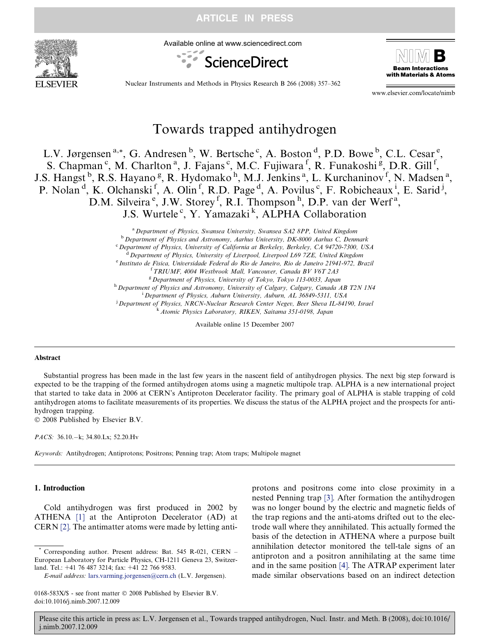

Available online at www.sciencedirect.com





Nuclear Instruments and Methods in Physics Research B 266 (2008) 357–362

www.elsevier.com/locate/nimb

# Towards trapped antihydrogen

L.V. Jørgensen<sup>a,\*</sup>, G. Andresen<sup>b</sup>, W. Bertsche<sup>c</sup>, A. Boston<sup>d</sup>, P.D. Bowe<sup>b</sup>, C.L. Cesar<sup>e</sup>, S. Chapman<sup>c</sup>, M. Charlton<sup>a</sup>, J. Fajans<sup>c</sup>, M.C. Fujiwara<sup>f</sup>, R. Funakoshi<sup>g</sup>, D.R. Gill<sup>f</sup>, J.S. Hangst <sup>b</sup>, R.S. Hayano <sup>g</sup>, R. Hydomako <sup>h</sup>, M.J. Jenkins <sup>a</sup>, L. Kurchaninov f, N. Madsen <sup>a</sup>, P. Nolan<sup>d</sup>, K. Olchanski<sup>f</sup>, A. Olin<sup>f</sup>, R.D. Page<sup>d</sup>, A. Povilus<sup>c</sup>, F. Robicheaux<sup>i</sup>, E. Sarid<sup>j</sup>, D.M. Silveira<sup>e</sup>, J.W. Storey<sup>f</sup>, R.I. Thompson<sup>h</sup>, D.P. van der Werf<sup>a</sup>, J.S. Wurtele<sup>c</sup>, Y. Yamazaki<sup>k</sup>, ALPHA Collaboration

<sup>a</sup> Department of Physics, Swansea University, Swansea SA2 8PP, United Kingdom<br><sup>b</sup> Department of Physics and Astronomy, Aarhus University, DK-8000 Aarhus C, Denmark<br><sup>c</sup> Department of Physics, University of California at B

<sup>e</sup> Instituto de Fisica, Universidade Federal do Rio de Janeiro, Rio de Janeiro 21941-972, Brazil

TRIUMF, 4004 Westbrook Mall, Vancouver, Canada BV V6T 2A3

 $B$  Department of Physics, University of Tokyo, Tokyo 113-0033, Japan<br><sup>h</sup> Department of Physics and Astronomy, University of Calgary, Calgary, Canada AB T2N 1N4

 $\mu$ <sup>i</sup> Department of Physics, Auburn University, Auburn, AL 36849-5311, USA

<sup>j</sup> Department of Physics, NRCN-Nuclear Research Center Negev, Beer Sheva IL-84190, Israel

k<br><sup>k</sup> Atomic Physics Laboratory, RIKEN, Saitama 351-0198, Japan

Available online 15 December 2007

#### Abstract

Substantial progress has been made in the last few years in the nascent field of antihydrogen physics. The next big step forward is expected to be the trapping of the formed antihydrogen atoms using a magnetic multipole trap. ALPHA is a new international project that started to take data in 2006 at CERN's Antiproton Decelerator facility. The primary goal of ALPHA is stable trapping of cold antihydrogen atoms to facilitate measurements of its properties. We discuss the status of the ALPHA project and the prospects for antihydrogen trapping.

 $© 2008$  Published by Elsevier B.V.

PACS: 36.10. - k; 34.80.Lx; 52.20.Hv

Keywords: Antihydrogen; Antiprotons; Positrons; Penning trap; Atom traps; Multipole magnet

#### 1. Introduction

Cold antihydrogen was first produced in 2002 by ATHENA [\[1\]](#page-4-0) at the Antiproton Decelerator (AD) at CERN [\[2\].](#page-4-0) The antimatter atoms were made by letting antiprotons and positrons come into close proximity in a nested Penning trap [\[3\]](#page-4-0). After formation the antihydrogen was no longer bound by the electric and magnetic fields of the trap regions and the anti-atoms drifted out to the electrode wall where they annihilated. This actually formed the basis of the detection in ATHENA where a purpose built annihilation detector monitored the tell-tale signs of an antiproton and a positron annihilating at the same time and in the same position [\[4\].](#page-4-0) The ATRAP experiment later made similar observations based on an indirect detection

Corresponding author. Present address: Bat. 545 R-021, CERN -European Laboratory for Particle Physics, CH-1211 Geneva 23, Switzerland. Tel.: +41 76 487 3214; fax: +41 22 766 9583.

E-mail address: [lars.varming.jorgensen@cern.ch](mailto:lars.varming.jorgensen@cern.ch) (L.V. Jørgensen).

<sup>0168-583</sup>X/\$ - see front matter  $\odot$  2008 Published by Elsevier B.V. doi:10.1016/j.nimb.2007.12.009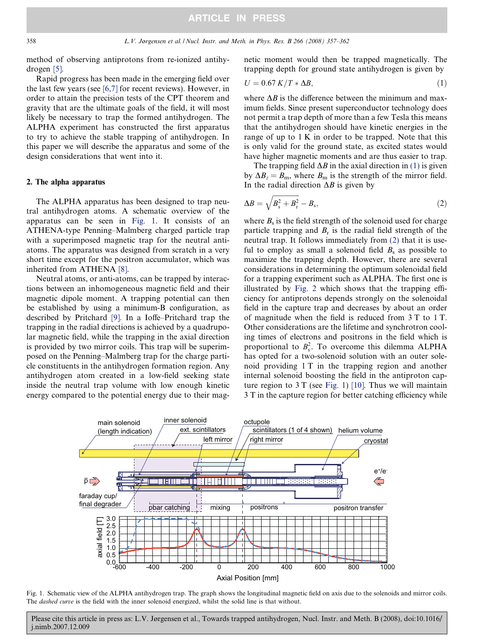method of observing antiprotons from re-ionized antihydrogen [\[5\]](#page-4-0).

Rapid progress has been made in the emerging field over the last few years (see [\[6,7\]](#page-4-0) for recent reviews). However, in order to attain the precision tests of the CPT theorem and gravity that are the ultimate goals of the field, it will most likely be necessary to trap the formed antihydrogen. The ALPHA experiment has constructed the first apparatus to try to achieve the stable trapping of antihydrogen. In this paper we will describe the apparatus and some of the design considerations that went into it.

#### 2. The alpha apparatus

The ALPHA apparatus has been designed to trap neutral antihydrogen atoms. A schematic overview of the apparatus can be seen in [Fig. 1](#page-1-0). It consists of an ATHENA-type Penning–Malmberg charged particle trap with a superimposed magnetic trap for the neutral antiatoms. The apparatus was designed from scratch in a very short time except for the positron accumulator, which was inherited from ATHENA [\[8\].](#page-4-0)

Neutral atoms, or anti-atoms, can be trapped by interactions between an inhomogeneous magnetic field and their magnetic dipole moment. A trapping potential can then be established by using a minimum-B configuration, as described by Pritchard [\[9\].](#page-5-0) In a Ioffe–Pritchard trap the trapping in the radial directions is achieved by a quadrupolar magnetic field, while the trapping in the axial direction is provided by two mirror coils. This trap will be superimposed on the Penning–Malmberg trap for the charge particle constituents in the antihydrogen formation region. Any antihydrogen atom created in a low-field seeking state inside the neutral trap volume with low enough kinetic energy compared to the potential energy due to their magnetic moment would then be trapped magnetically. The trapping depth for ground state antihydrogen is given by

$$
U = 0.67 K/T * \Delta B, \qquad (1)
$$

where  $\Delta B$  is the difference between the minimum and maximum fields. Since present superconductor technology does not permit a trap depth of more than a few Tesla this means that the antihydrogen should have kinetic energies in the range of up to  $1 K$  in order to be trapped. Note that this is only valid for the ground state, as excited states would have higher magnetic moments and are thus easier to trap.

The trapping field  $\Delta B$  in the axial direction in [\(1\)](#page-1-0) is given by  $\Delta B_z = B_{\rm m}$ , where  $B_{\rm m}$  is the strength of the mirror field. In the radial direction  $\Delta B$  is given by

$$
\Delta B = \sqrt{B_s^2 + B_r^2} - B_s,\tag{2}
$$

where  $B_s$  is the field strength of the solenoid used for charge particle trapping and  $B_r$  is the radial field strength of the neutral trap. It follows immediately from [\(2\)](#page-1-0) that it is useful to employ as small a solenoid field  $B_s$  as possible to maximize the trapping depth. However, there are several considerations in determining the optimum solenoidal field for a trapping experiment such as ALPHA. The first one is illustrated by [Fig. 2](#page-2-0) which shows that the trapping efficiency for antiprotons depends strongly on the solenoidal field in the capture trap and decreases by about an order of magnitude when the field is reduced from 3 T to 1 T. Other considerations are the lifetime and synchrotron cooling times of electrons and positrons in the field which is proportional to  $B_s^2$ . To overcome this dilemma ALPHA has opted for a two-solenoid solution with an outer solenoid providing 1 T in the trapping region and another internal solenoid boosting the field in the antiproton capture region to  $3T$  (see [Fig. 1\)](#page-1-0) [\[10\].](#page-5-0) Thus we will maintain 3 T in the capture region for better catching efficiency while



Fig. 1. Schematic view of the ALPHA antihydrogen trap. The graph shows the longitudinal magnetic field on axis due to the solenoids and mirror coils. The dashed curve is the field with the inner solenoid energized, whilst the solid line is that without.

<span id="page-1-0"></span>Please cite this article in press as: L.V. Jørgensen et al., Towards trapped antihydrogen, Nucl. Instr. and Meth. B (2008), doi:10.1016/ j.nimb.2007.12.009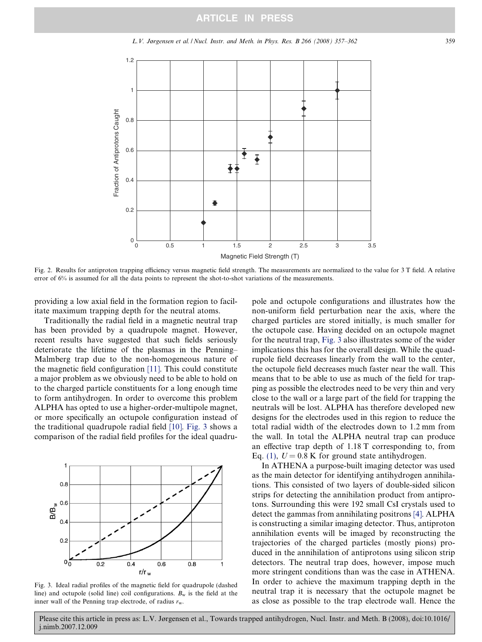L.V. Jørgensen et al. / Nucl. Instr. and Meth. in Phys. Res. B 266 (2008) 357–362 359



Fig. 2. Results for antiproton trapping efficiency versus magnetic field strength. The measurements are normalized to the value for 3 T field. A relative error of 6% is assumed for all the data points to represent the shot-to-shot variations of the measurements.

providing a low axial field in the formation region to facilitate maximum trapping depth for the neutral atoms.

Traditionally the radial field in a magnetic neutral trap has been provided by a quadrupole magnet. However, recent results have suggested that such fields seriously deteriorate the lifetime of the plasmas in the Penning– Malmberg trap due to the non-homogeneous nature of the magnetic field configuration [\[11\]](#page-5-0). This could constitute a major problem as we obviously need to be able to hold on to the charged particle constituents for a long enough time to form antihydrogen. In order to overcome this problem ALPHA has opted to use a higher-order-multipole magnet, or more specifically an octupole configuration instead of the traditional quadrupole radial field [\[10\].](#page-5-0) [Fig. 3](#page-2-0) shows a comparison of the radial field profiles for the ideal quadru-



Fig. 3. Ideal radial profiles of the magnetic field for quadrupole (dashed line) and octupole (solid line) coil configurations.  $B_w$  is the field at the inner wall of the Penning trap electrode, of radius  $r_w$ .

<span id="page-2-0"></span>j.nimb.2007.12.009

pole and octupole configurations and illustrates how the non-uniform field perturbation near the axis, where the charged particles are stored initially, is much smaller for the octupole case. Having decided on an octupole magnet for the neutral trap, [Fig. 3](#page-2-0) also illustrates some of the wider implications this has for the overall design. While the quadrupole field decreases linearly from the wall to the center, the octupole field decreases much faster near the wall. This means that to be able to use as much of the field for trapping as possible the electrodes need to be very thin and very close to the wall or a large part of the field for trapping the neutrals will be lost. ALPHA has therefore developed new designs for the electrodes used in this region to reduce the total radial width of the electrodes down to 1.2 mm from the wall. In total the ALPHA neutral trap can produce an effective trap depth of 1.18 T corresponding to, from Eq. [\(1\)](#page-1-0),  $U = 0.8$  K for ground state antihydrogen.

In ATHENA a purpose-built imaging detector was used as the main detector for identifying antihydrogen annihilations. This consisted of two layers of double-sided silicon strips for detecting the annihilation product from antiprotons. Surrounding this were 192 small CsI crystals used to detect the gammas from annihilating positrons [\[4\]](#page-4-0). ALPHA is constructing a similar imaging detector. Thus, antiproton annihilation events will be imaged by reconstructing the trajectories of the charged particles (mostly pions) produced in the annihilation of antiprotons using silicon strip detectors. The neutral trap does, however, impose much more stringent conditions than was the case in ATHENA. In order to achieve the maximum trapping depth in the neutral trap it is necessary that the octupole magnet be as close as possible to the trap electrode wall. Hence the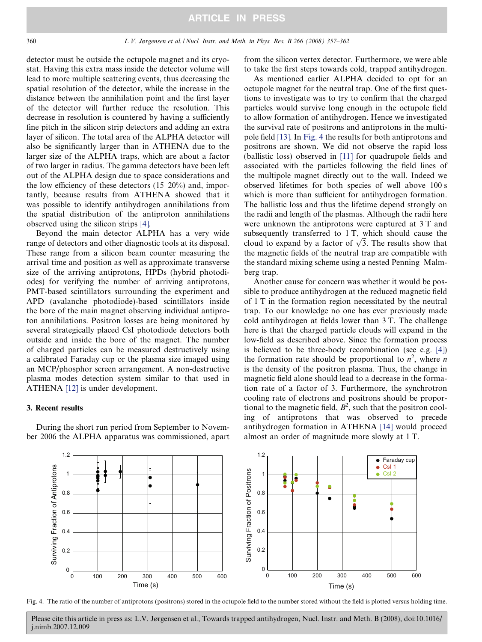detector must be outside the octupole magnet and its cryostat. Having this extra mass inside the detector volume will lead to more multiple scattering events, thus decreasing the spatial resolution of the detector, while the increase in the distance between the annihilation point and the first layer of the detector will further reduce the resolution. This decrease in resolution is countered by having a sufficiently fine pitch in the silicon strip detectors and adding an extra layer of silicon. The total area of the ALPHA detector will also be significantly larger than in ATHENA due to the larger size of the ALPHA traps, which are about a factor of two larger in radius. The gamma detectors have been left out of the ALPHA design due to space considerations and the low efficiency of these detectors (15–20%) and, importantly, because results from ATHENA showed that it was possible to identify antihydrogen annihilations from the spatial distribution of the antiproton annihilations observed using the silicon strips [\[4\].](#page-4-0)

Beyond the main detector ALPHA has a very wide range of detectors and other diagnostic tools at its disposal. These range from a silicon beam counter measuring the arrival time and position as well as approximate transverse size of the arriving antiprotons, HPDs (hybrid photodiodes) for verifying the number of arriving antiprotons, PMT-based scintillators surrounding the experiment and APD (avalanche photodiode)-based scintillators inside the bore of the main magnet observing individual antiproton annihilations. Positron losses are being monitored by several strategically placed CsI photodiode detectors both outside and inside the bore of the magnet. The number of charged particles can be measured destructively using a calibrated Faraday cup or the plasma size imaged using an MCP/phosphor screen arrangement. A non-destructive plasma modes detection system similar to that used in ATHENA [\[12\]](#page-5-0) is under development.

#### 3. Recent results

During the short run period from September to November 2006 the ALPHA apparatus was commissioned, apart from the silicon vertex detector. Furthermore, we were able to take the first steps towards cold, trapped antihydrogen.

As mentioned earlier ALPHA decided to opt for an octupole magnet for the neutral trap. One of the first questions to investigate was to try to confirm that the charged particles would survive long enough in the octupole field to allow formation of antihydrogen. Hence we investigated the survival rate of positrons and antiprotons in the multipole field [\[13\]](#page-5-0). In [Fig. 4](#page-3-0) the results for both antiprotons and positrons are shown. We did not observe the rapid loss (ballistic loss) observed in [\[11\]](#page-5-0) for quadrupole fields and associated with the particles following the field lines of the multipole magnet directly out to the wall. Indeed we observed lifetimes for both species of well above 100 s which is more than sufficient for antihydrogen formation. The ballistic loss and thus the lifetime depend strongly on the radii and length of the plasmas. Although the radii here were unknown the antiprotons were captured at 3 T and subsequently transferred to 1 T, which should cause the cloud to expand by a factor of  $\sqrt{3}$ . The results show that the magnetic fields of the neutral trap are compatible with the standard mixing scheme using a nested Penning–Malmberg trap.

Another cause for concern was whether it would be possible to produce antihydrogen at the reduced magnetic field of 1 T in the formation region necessitated by the neutral trap. To our knowledge no one has ever previously made cold antihydrogen at fields lower than 3 T. The challenge here is that the charged particle clouds will expand in the low-field as described above. Since the formation process is believed to be three-body recombination (see e.g. [\[4\]](#page-4-0)) the formation rate should be proportional to  $n^2$ , where n is the density of the positron plasma. Thus, the change in magnetic field alone should lead to a decrease in the formation rate of a factor of 3. Furthermore, the synchrotron cooling rate of electrons and positrons should be proportional to the magnetic field,  $B^2$ , such that the positron cooling of antiprotons that was observed to precede antihydrogen formation in ATHENA [\[14\]](#page-5-0) would proceed almost an order of magnitude more slowly at 1 T.



Fig. 4. The ratio of the number of antiprotons (positrons) stored in the octupole field to the number stored without the field is plotted versus holding time.

<span id="page-3-0"></span>Please cite this article in press as: L.V. Jørgensen et al., Towards trapped antihydrogen, Nucl. Instr. and Meth. B (2008), doi:10.1016/ j.nimb.2007.12.009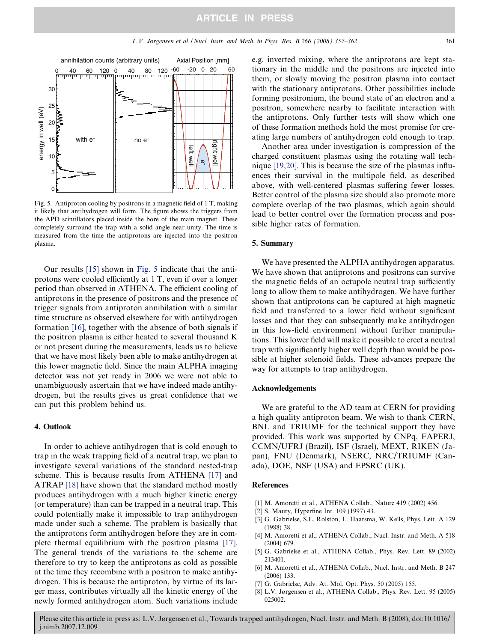

Fig. 5. Antiproton cooling by positrons in a magnetic field of 1 T, making it likely that antihydrogen will form. The figure shows the triggers from the APD scintillators placed inside the bore of the main magnet. These completely surround the trap with a solid angle near unity. The time is measured from the time the antiprotons are injected into the positron plasma.

Our results [\[15\]](#page-5-0) shown in [Fig. 5](#page-4-0) indicate that the antiprotons were cooled efficiently at 1 T, even if over a longer period than observed in ATHENA. The efficient cooling of antiprotons in the presence of positrons and the presence of trigger signals from antiproton annihilation with a similar time structure as observed elsewhere for with antihydrogen formation [\[16\],](#page-5-0) together with the absence of both signals if the positron plasma is either heated to several thousand K or not present during the measurements, leads us to believe that we have most likely been able to make antihydrogen at this lower magnetic field. Since the main ALPHA imaging detector was not yet ready in 2006 we were not able to unambiguously ascertain that we have indeed made antihydrogen, but the results gives us great confidence that we can put this problem behind us.

### 4. Outlook

In order to achieve antihydrogen that is cold enough to trap in the weak trapping field of a neutral trap, we plan to investigate several variations of the standard nested-trap scheme. This is because results from ATHENA [\[17\]](#page-5-0) and ATRAP [\[18\]](#page-5-0) have shown that the standard method mostly produces antihydrogen with a much higher kinetic energy (or temperature) than can be trapped in a neutral trap. This could potentially make it impossible to trap antihydrogen made under such a scheme. The problem is basically that the antiprotons form antihydrogen before they are in complete thermal equilibrium with the positron plasma [\[17\].](#page-5-0) The general trends of the variations to the scheme are therefore to try to keep the antiprotons as cold as possible at the time they recombine with a positron to make antihydrogen. This is because the antiproton, by virtue of its larger mass, contributes virtually all the kinetic energy of the newly formed antihydrogen atom. Such variations include e.g. inverted mixing, where the antiprotons are kept stationary in the middle and the positrons are injected into them, or slowly moving the positron plasma into contact with the stationary antiprotons. Other possibilities include forming positronium, the bound state of an electron and a positron, somewhere nearby to facilitate interaction with the antiprotons. Only further tests will show which one of these formation methods hold the most promise for creating large numbers of antihydrogen cold enough to trap.

Another area under investigation is compression of the charged constituent plasmas using the rotating wall technique [\[19,20\]](#page-5-0). This is because the size of the plasmas influences their survival in the multipole field, as described above, with well-centered plasmas suffering fewer losses. Better control of the plasma size should also promote more complete overlap of the two plasmas, which again should lead to better control over the formation process and possible higher rates of formation.

#### 5. Summary

We have presented the ALPHA antihydrogen apparatus. We have shown that antiprotons and positrons can survive the magnetic fields of an octupole neutral trap sufficiently long to allow them to make antihydrogen. We have further shown that antiprotons can be captured at high magnetic field and transferred to a lower field without significant losses and that they can subsequently make antihydrogen in this low-field environment without further manipulations. This lower field will make it possible to erect a neutral trap with significantly higher well depth than would be possible at higher solenoid fields. These advances prepare the way for attempts to trap antihydrogen.

#### Acknowledgements

We are grateful to the AD team at CERN for providing a high quality antiproton beam. We wish to thank CERN, BNL and TRIUMF for the technical support they have provided. This work was supported by CNPq, FAPERJ, CCMN/UFRJ (Brazil), ISF (Israel), MEXT, RIKEN (Japan), FNU (Denmark), NSERC, NRC/TRIUMF (Canada), DOE, NSF (USA) and EPSRC (UK).

#### References

- [1] M. Amoretti et al., ATHENA Collab., Nature 419 (2002) 456.
- [2] S. Maury, Hyperfine Int. 109 (1997) 43.
- [3] G. Gabrielse, S.L. Rolston, L. Haarsma, W. Kells, Phys. Lett. A 129 (1988) 38.
- [4] M. Amoretti et al., ATHENA Collab., Nucl. Instr. and Meth. A 518 (2004) 679.
- [5] G. Gabrielse et al., ATHENA Collab., Phys. Rev. Lett. 89 (2002) 213401.
- [6] M. Amoretti et al., ATHENA Collab., Nucl. Instr. and Meth. B 247 (2006) 133.
- [7] G. Gabrielse, Adv. At. Mol. Opt. Phys. 50 (2005) 155.
- [8] L.V. Jørgensen et al., ATHENA Collab., Phys. Rev. Lett. 95 (2005) 025002.

<span id="page-4-0"></span>Please cite this article in press as: L.V. Jørgensen et al., Towards trapped antihydrogen, Nucl. Instr. and Meth. B (2008), doi:10.1016/ j.nimb.2007.12.009